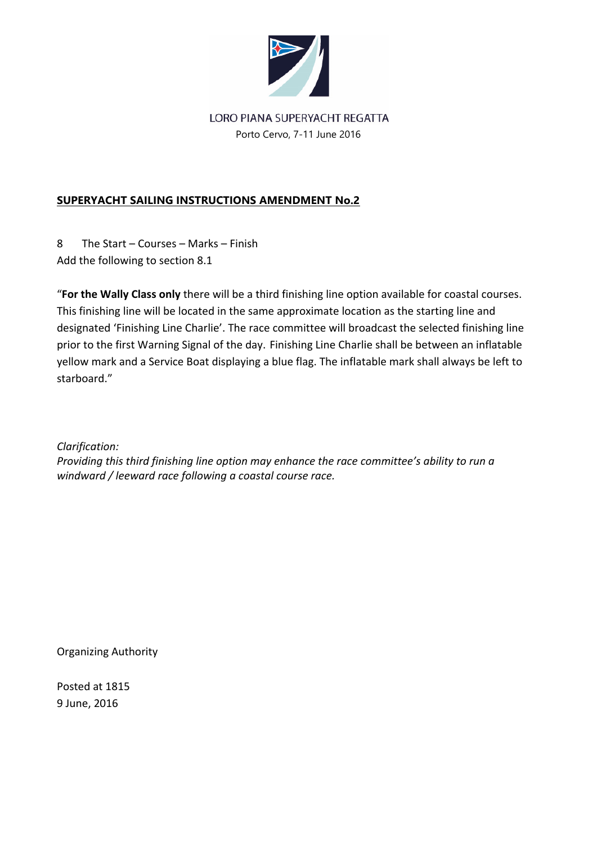

# LORO PIANA SUPERYACHT REGATTA Porto Cervo, 7-11 June 2016

# **SUPERYACHT SAILING INSTRUCTIONS AMENDMENT No.2**

8 The Start – Courses – Marks – Finish Add the following to section 8.1

"**For the Wally Class only** there will be a third finishing line option available for coastal courses. This finishing line will be located in the same approximate location as the starting line and designated 'Finishing Line Charlie'. The race committee will broadcast the selected finishing line prior to the first Warning Signal of the day. Finishing Line Charlie shall be between an inflatable yellow mark and a Service Boat displaying a blue flag. The inflatable mark shall always be left to starboard."

*Clarification:* 

*Providing this third finishing line option may enhance the race committee's ability to run a windward / leeward race following a coastal course race.* 

Organizing Authority

Posted at 1815 9 June, 2016